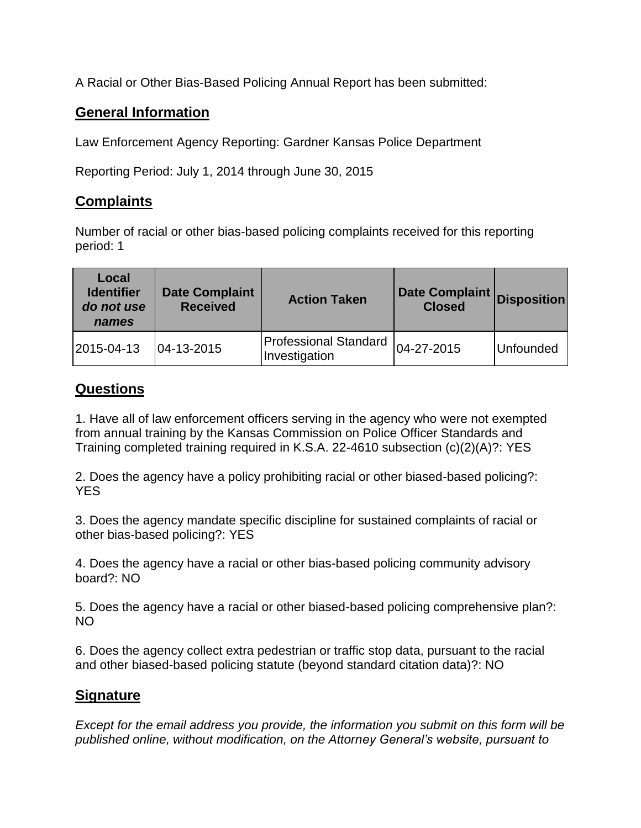A Racial or Other Bias-Based Policing Annual Report has been submitted:

## **General Information**

Law Enforcement Agency Reporting: Gardner Kansas Police Department

Reporting Period: July 1, 2014 through June 30, 2015

## **Complaints**

Number of racial or other bias-based policing complaints received for this reporting period: 1

| Local<br><b>Identifier</b><br>do not use<br>names | <b>Date Complaint</b><br><b>Received</b> | <b>Action Taken</b>                           | Date Complaint Disposition<br><b>Closed</b> |           |
|---------------------------------------------------|------------------------------------------|-----------------------------------------------|---------------------------------------------|-----------|
| 2015-04-13                                        | $ 04 - 13 - 2015 $                       | <b>Professional Standard</b><br>Investigation | 04-27-2015                                  | Unfounded |

## **Questions**

1. Have all of law enforcement officers serving in the agency who were not exempted from annual training by the Kansas Commission on Police Officer Standards and Training completed training required in K.S.A. 22-4610 subsection (c)(2)(A)?: YES

2. Does the agency have a policy prohibiting racial or other biased-based policing?: YES

3. Does the agency mandate specific discipline for sustained complaints of racial or other bias-based policing?: YES

4. Does the agency have a racial or other bias-based policing community advisory board?: NO

5. Does the agency have a racial or other biased-based policing comprehensive plan?: NO

6. Does the agency collect extra pedestrian or traffic stop data, pursuant to the racial and other biased-based policing statute (beyond standard citation data)?: NO

## **Signature**

*Except for the email address you provide, the information you submit on this form will be published online, without modification, on the Attorney General's website, pursuant to*